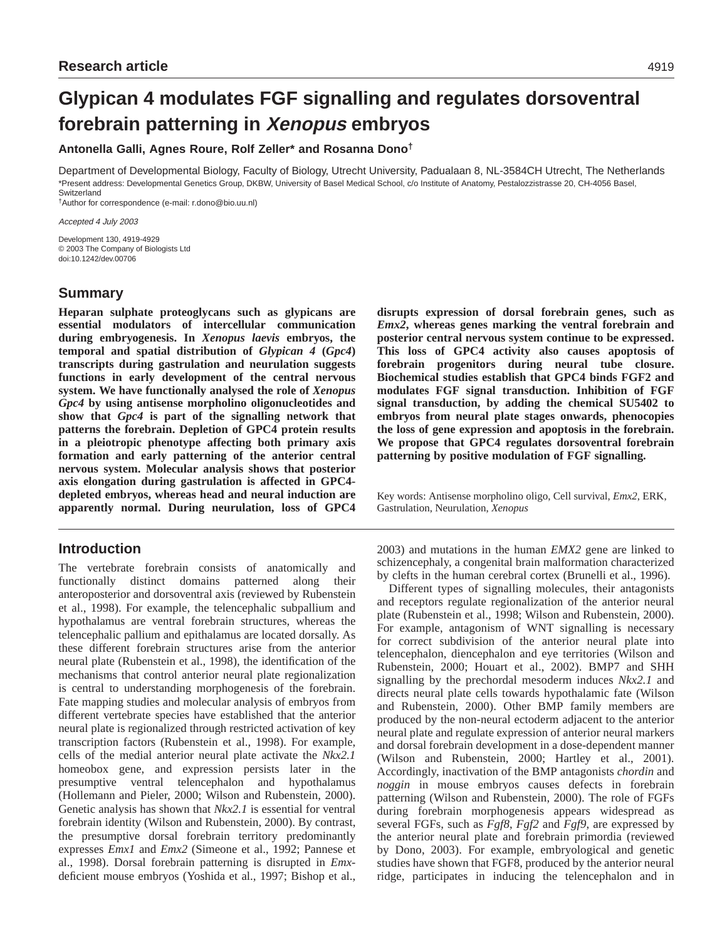# **Glypican 4 modulates FGF signalling and regulates dorsoventral forebrain patterning in Xenopus embryos**

**Antonella Galli, Agnes Roure, Rolf Zeller\* and Rosanna Dono†**

Department of Developmental Biology, Faculty of Biology, Utrecht University, Padualaan 8, NL-3584CH Utrecht, The Netherlands \*Present address: Developmental Genetics Group, DKBW, University of Basel Medical School, c/o Institute of Anatomy, Pestalozzistrasse 20, CH-4056 Basel, Switzerland

†Author for correspondence (e-mail: r.dono@bio.uu.nl)

Accepted 4 July 2003

Development 130, 4919-4929 © 2003 The Company of Biologists Ltd doi:10.1242/dev.00706

# **Summary**

**Heparan sulphate proteoglycans such as glypicans are essential modulators of intercellular communication during embryogenesis. In** *Xenopus laevis* **embryos, the temporal and spatial distribution of** *Glypican 4* **(***Gpc4***) transcripts during gastrulation and neurulation suggests functions in early development of the central nervous system. We have functionally analysed the role of** *Xenopus Gpc4* **by using antisense morpholino oligonucleotides and show that** *Gpc4* **is part of the signalling network that patterns the forebrain. Depletion of GPC4 protein results in a pleiotropic phenotype affecting both primary axis formation and early patterning of the anterior central nervous system. Molecular analysis shows that posterior axis elongation during gastrulation is affected in GPC4 depleted embryos, whereas head and neural induction are apparently normal. During neurulation, loss of GPC4**

# **Introduction**

The vertebrate forebrain consists of anatomically and functionally distinct domains patterned along their anteroposterior and dorsoventral axis (reviewed by Rubenstein et al., 1998). For example, the telencephalic subpallium and hypothalamus are ventral forebrain structures, whereas the telencephalic pallium and epithalamus are located dorsally. As these different forebrain structures arise from the anterior neural plate (Rubenstein et al., 1998), the identification of the mechanisms that control anterior neural plate regionalization is central to understanding morphogenesis of the forebrain. Fate mapping studies and molecular analysis of embryos from different vertebrate species have established that the anterior neural plate is regionalized through restricted activation of key transcription factors (Rubenstein et al., 1998). For example, cells of the medial anterior neural plate activate the *Nkx2.1* homeobox gene, and expression persists later in the presumptive ventral telencephalon and hypothalamus (Hollemann and Pieler, 2000; Wilson and Rubenstein, 2000). Genetic analysis has shown that *Nkx2.1* is essential for ventral forebrain identity (Wilson and Rubenstein, 2000). By contrast, the presumptive dorsal forebrain territory predominantly expresses *Emx1* and *Emx2* (Simeone et al., 1992; Pannese et al., 1998). Dorsal forebrain patterning is disrupted in *Emx*deficient mouse embryos (Yoshida et al., 1997; Bishop et al.,

**disrupts expression of dorsal forebrain genes, such as** *Emx2***, whereas genes marking the ventral forebrain and posterior central nervous system continue to be expressed. This loss of GPC4 activity also causes apoptosis of forebrain progenitors during neural tube closure. Biochemical studies establish that GPC4 binds FGF2 and modulates FGF signal transduction. Inhibition of FGF signal transduction, by adding the chemical SU5402 to embryos from neural plate stages onwards, phenocopies the loss of gene expression and apoptosis in the forebrain. We propose that GPC4 regulates dorsoventral forebrain patterning by positive modulation of FGF signalling.**

Key words: Antisense morpholino oligo, Cell survival, *Emx2*, ERK, Gastrulation, Neurulation, *Xenopus*

2003) and mutations in the human *EMX2* gene are linked to schizencephaly, a congenital brain malformation characterized by clefts in the human cerebral cortex (Brunelli et al., 1996).

Different types of signalling molecules, their antagonists and receptors regulate regionalization of the anterior neural plate (Rubenstein et al., 1998; Wilson and Rubenstein, 2000). For example, antagonism of WNT signalling is necessary for correct subdivision of the anterior neural plate into telencephalon, diencephalon and eye territories (Wilson and Rubenstein, 2000; Houart et al., 2002). BMP7 and SHH signalling by the prechordal mesoderm induces *Nkx2.1* and directs neural plate cells towards hypothalamic fate (Wilson and Rubenstein, 2000). Other BMP family members are produced by the non-neural ectoderm adjacent to the anterior neural plate and regulate expression of anterior neural markers and dorsal forebrain development in a dose-dependent manner (Wilson and Rubenstein, 2000; Hartley et al., 2001). Accordingly, inactivation of the BMP antagonists *chordin* and *noggin* in mouse embryos causes defects in forebrain patterning (Wilson and Rubenstein, 2000). The role of FGFs during forebrain morphogenesis appears widespread as several FGFs, such as *Fgf8*, *Fgf2* and *Fgf9*, are expressed by the anterior neural plate and forebrain primordia (reviewed by Dono, 2003). For example, embryological and genetic studies have shown that FGF8, produced by the anterior neural ridge, participates in inducing the telencephalon and in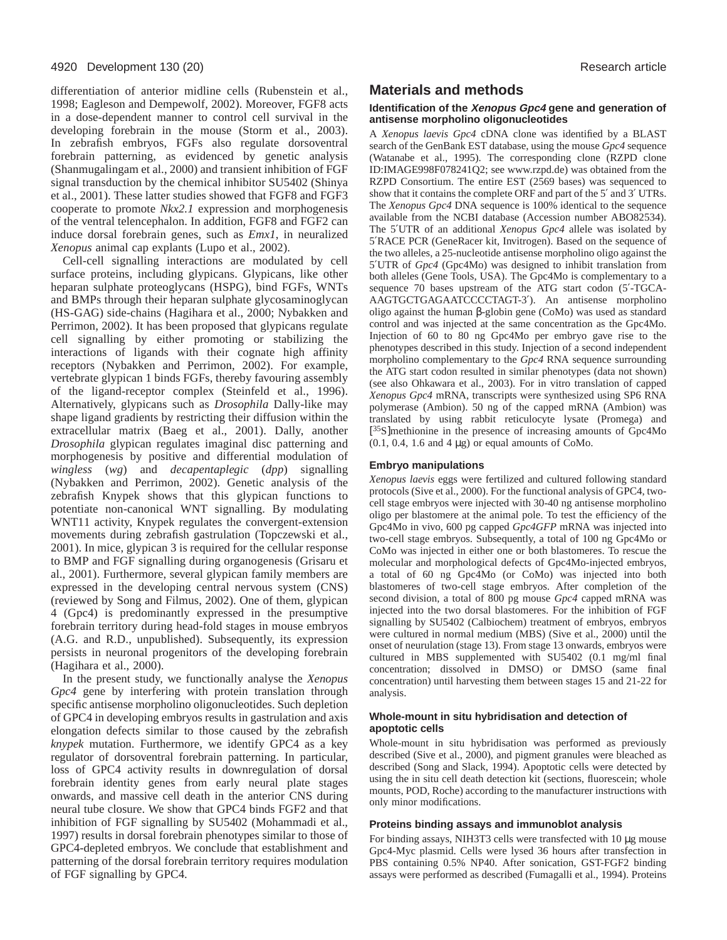differentiation of anterior midline cells (Rubenstein et al., 1998; Eagleson and Dempewolf, 2002). Moreover, FGF8 acts in a dose-dependent manner to control cell survival in the developing forebrain in the mouse (Storm et al., 2003). In zebrafish embryos, FGFs also regulate dorsoventral forebrain patterning, as evidenced by genetic analysis (Shanmugalingam et al., 2000) and transient inhibition of FGF signal transduction by the chemical inhibitor SU5402 (Shinya et al., 2001). These latter studies showed that FGF8 and FGF3 cooperate to promote *Nkx2.1* expression and morphogenesis of the ventral telencephalon. In addition, FGF8 and FGF2 can induce dorsal forebrain genes, such as *Emx1*, in neuralized *Xenopus* animal cap explants (Lupo et al., 2002).

Cell-cell signalling interactions are modulated by cell surface proteins, including glypicans. Glypicans, like other heparan sulphate proteoglycans (HSPG), bind FGFs, WNTs and BMPs through their heparan sulphate glycosaminoglycan (HS-GAG) side-chains (Hagihara et al., 2000; Nybakken and Perrimon, 2002). It has been proposed that glypicans regulate cell signalling by either promoting or stabilizing the interactions of ligands with their cognate high affinity receptors (Nybakken and Perrimon, 2002). For example, vertebrate glypican 1 binds FGFs, thereby favouring assembly of the ligand-receptor complex (Steinfeld et al., 1996). Alternatively, glypicans such as *Drosophila* Dally-like may shape ligand gradients by restricting their diffusion within the extracellular matrix (Baeg et al., 2001). Dally, another *Drosophila* glypican regulates imaginal disc patterning and morphogenesis by positive and differential modulation of *wingless* (*wg*) and *decapentaplegic* (*dpp*) signalling (Nybakken and Perrimon, 2002). Genetic analysis of the zebrafish Knypek shows that this glypican functions to potentiate non-canonical WNT signalling. By modulating WNT11 activity, Knypek regulates the convergent-extension movements during zebrafish gastrulation (Topczewski et al., 2001). In mice, glypican 3 is required for the cellular response to BMP and FGF signalling during organogenesis (Grisaru et al., 2001). Furthermore, several glypican family members are expressed in the developing central nervous system (CNS) (reviewed by Song and Filmus, 2002). One of them, glypican 4 (Gpc4) is predominantly expressed in the presumptive forebrain territory during head-fold stages in mouse embryos (A.G. and R.D., unpublished). Subsequently, its expression persists in neuronal progenitors of the developing forebrain (Hagihara et al., 2000).

In the present study, we functionally analyse the *Xenopus Gpc4* gene by interfering with protein translation through specific antisense morpholino oligonucleotides. Such depletion of GPC4 in developing embryos results in gastrulation and axis elongation defects similar to those caused by the zebrafish *knypek* mutation. Furthermore, we identify GPC4 as a key regulator of dorsoventral forebrain patterning. In particular, loss of GPC4 activity results in downregulation of dorsal forebrain identity genes from early neural plate stages onwards, and massive cell death in the anterior CNS during neural tube closure. We show that GPC4 binds FGF2 and that inhibition of FGF signalling by SU5402 (Mohammadi et al., 1997) results in dorsal forebrain phenotypes similar to those of GPC4-depleted embryos. We conclude that establishment and patterning of the dorsal forebrain territory requires modulation of FGF signalling by GPC4.

# **Materials and methods**

#### **Identification of the Xenopus Gpc4 gene and generation of antisense morpholino oligonucleotides**

A *Xenopus laevis Gpc4* cDNA clone was identified by a BLAST search of the GenBank EST database, using the mouse *Gpc4* sequence (Watanabe et al., 1995). The corresponding clone (RZPD clone ID:IMAGE998F078241Q2; see www.rzpd.de) was obtained from the RZPD Consortium. The entire EST (2569 bases) was sequenced to show that it contains the complete ORF and part of the 5′ and 3′ UTRs. The *Xenopus Gpc4* DNA sequence is 100% identical to the sequence available from the NCBI database (Accession number ABO82534). The 5′UTR of an additional *Xenopus Gpc4* allele was isolated by 5′RACE PCR (GeneRacer kit, Invitrogen). Based on the sequence of the two alleles, a 25-nucleotide antisense morpholino oligo against the 5′UTR of *Gpc4* (Gpc4Mo) was designed to inhibit translation from both alleles (Gene Tools, USA). The Gpc4Mo is complementary to a sequence 70 bases upstream of the ATG start codon (5′-TGCA-AAGTGCTGAGAATCCCCTAGT-3′). An antisense morpholino oligo against the human β-globin gene (CoMo) was used as standard control and was injected at the same concentration as the Gpc4Mo. Injection of 60 to 80 ng Gpc4Mo per embryo gave rise to the phenotypes described in this study. Injection of a second independent morpholino complementary to the *Gpc4* RNA sequence surrounding the ATG start codon resulted in similar phenotypes (data not shown) (see also Ohkawara et al., 2003). For in vitro translation of capped *Xenopus Gpc4* mRNA, transcripts were synthesized using SP6 RNA polymerase (Ambion). 50 ng of the capped mRNA (Ambion) was translated by using rabbit reticulocyte lysate (Promega) and [35S]methionine in the presence of increasing amounts of Gpc4Mo  $(0.1, 0.4, 1.6 \text{ and } 4 \mu g)$  or equal amounts of CoMo.

#### **Embryo manipulations**

*Xenopus laevis* eggs were fertilized and cultured following standard protocols (Sive et al., 2000). For the functional analysis of GPC4, twocell stage embryos were injected with 30-40 ng antisense morpholino oligo per blastomere at the animal pole. To test the efficiency of the Gpc4Mo in vivo, 600 pg capped *Gpc4GFP* mRNA was injected into two-cell stage embryos. Subsequently, a total of 100 ng Gpc4Mo or CoMo was injected in either one or both blastomeres. To rescue the molecular and morphological defects of Gpc4Mo-injected embryos, a total of 60 ng Gpc4Mo (or CoMo) was injected into both blastomeres of two-cell stage embryos. After completion of the second division, a total of 800 pg mouse *Gpc4* capped mRNA was injected into the two dorsal blastomeres. For the inhibition of FGF signalling by SU5402 (Calbiochem) treatment of embryos, embryos were cultured in normal medium (MBS) (Sive et al., 2000) until the onset of neurulation (stage 13). From stage 13 onwards, embryos were cultured in MBS supplemented with SU5402 (0.1 mg/ml final concentration; dissolved in DMSO) or DMSO (same final concentration) until harvesting them between stages 15 and 21-22 for analysis.

#### **Whole-mount in situ hybridisation and detection of apoptotic cells**

Whole-mount in situ hybridisation was performed as previously described (Sive et al., 2000), and pigment granules were bleached as described (Song and Slack, 1994). Apoptotic cells were detected by using the in situ cell death detection kit (sections, fluorescein; whole mounts, POD, Roche) according to the manufacturer instructions with only minor modifications.

#### **Proteins binding assays and immunoblot analysis**

For binding assays, NIH3T3 cells were transfected with 10 µg mouse Gpc4-Myc plasmid. Cells were lysed 36 hours after transfection in PBS containing 0.5% NP40. After sonication, GST-FGF2 binding assays were performed as described (Fumagalli et al., 1994). Proteins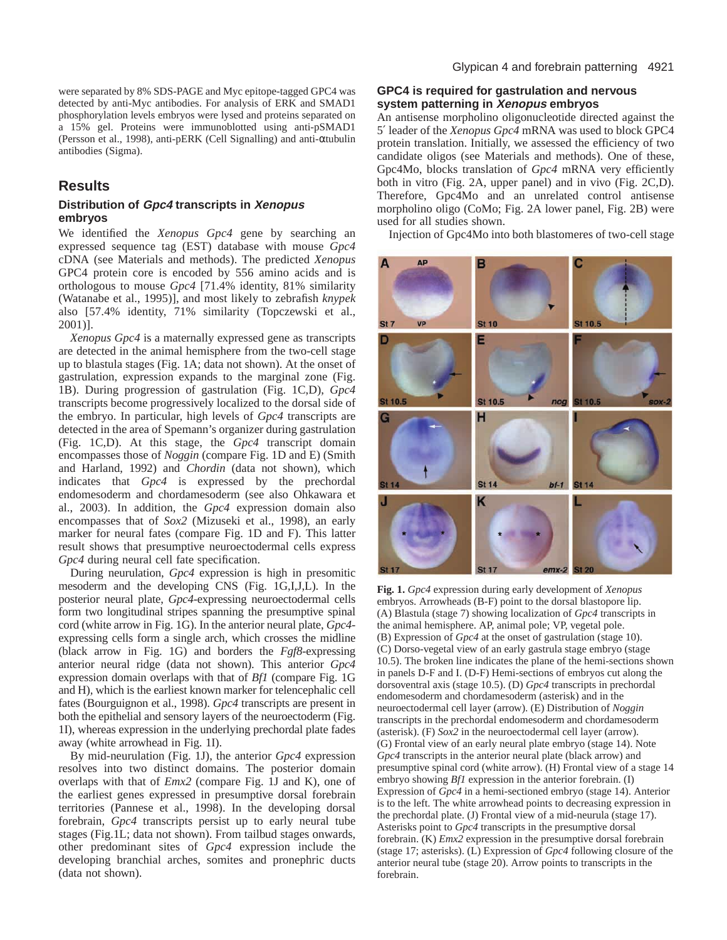were separated by 8% SDS-PAGE and Myc epitope-tagged GPC4 was detected by anti-Myc antibodies. For analysis of ERK and SMAD1 phosphorylation levels embryos were lysed and proteins separated on a 15% gel. Proteins were immunoblotted using anti-pSMAD1 (Persson et al., 1998), anti-pERK (Cell Signalling) and anti-αtubulin antibodies (Sigma).

# **Results**

#### **Distribution of Gpc4 transcripts in Xenopus embryos**

We identified the *Xenopus Gpc4* gene by searching an expressed sequence tag (EST) database with mouse *Gpc4* cDNA (see Materials and methods). The predicted *Xenopus* GPC4 protein core is encoded by 556 amino acids and is orthologous to mouse *Gpc4* [71.4% identity, 81% similarity (Watanabe et al., 1995)], and most likely to zebrafish *knypek* also [57.4% identity, 71% similarity (Topczewski et al., 2001)].

*Xenopus Gpc4* is a maternally expressed gene as transcripts are detected in the animal hemisphere from the two-cell stage up to blastula stages (Fig. 1A; data not shown). At the onset of gastrulation, expression expands to the marginal zone (Fig. 1B). During progression of gastrulation (Fig. 1C,D), *Gpc4* transcripts become progressively localized to the dorsal side of the embryo. In particular, high levels of *Gpc4* transcripts are detected in the area of Spemann's organizer during gastrulation (Fig. 1C,D). At this stage, the *Gpc4* transcript domain encompasses those of *Noggin* (compare Fig. 1D and E) (Smith and Harland, 1992) and *Chordin* (data not shown), which indicates that *Gpc4* is expressed by the prechordal endomesoderm and chordamesoderm (see also Ohkawara et al., 2003). In addition, the *Gpc4* expression domain also encompasses that of *Sox2* (Mizuseki et al., 1998), an early marker for neural fates (compare Fig. 1D and F). This latter result shows that presumptive neuroectodermal cells express *Gpc4* during neural cell fate specification.

During neurulation, *Gpc4* expression is high in presomitic mesoderm and the developing CNS (Fig. 1G,I,J,L). In the posterior neural plate, *Gpc4*-expressing neuroectodermal cells form two longitudinal stripes spanning the presumptive spinal cord (white arrow in Fig. 1G). In the anterior neural plate, *Gpc4* expressing cells form a single arch, which crosses the midline (black arrow in Fig. 1G) and borders the *Fgf8-*expressing anterior neural ridge (data not shown). This anterior *Gpc4* expression domain overlaps with that of *Bf1* (compare Fig. 1G and H)*,* which is the earliest known marker for telencephalic cell fates (Bourguignon et al., 1998). *Gpc4* transcripts are present in both the epithelial and sensory layers of the neuroectoderm (Fig. 1I), whereas expression in the underlying prechordal plate fades away (white arrowhead in Fig. 1I).

By mid-neurulation (Fig. 1J), the anterior *Gpc4* expression resolves into two distinct domains. The posterior domain overlaps with that of *Emx2* (compare Fig. 1J and K), one of the earliest genes expressed in presumptive dorsal forebrain territories (Pannese et al., 1998). In the developing dorsal forebrain, *Gpc4* transcripts persist up to early neural tube stages (Fig.1L; data not shown). From tailbud stages onwards, other predominant sites of *Gpc4* expression include the developing branchial arches, somites and pronephric ducts (data not shown).

#### **GPC4 is required for gastrulation and nervous system patterning in Xenopus embryos**

An antisense morpholino oligonucleotide directed against the 5′ leader of the *Xenopus Gpc4* mRNA was used to block GPC4 protein translation. Initially, we assessed the efficiency of two candidate oligos (see Materials and methods). One of these, Gpc4Mo, blocks translation of *Gpc4* mRNA very efficiently both in vitro (Fig. 2A, upper panel) and in vivo (Fig. 2C,D). Therefore, Gpc4Mo and an unrelated control antisense morpholino oligo (CoMo; Fig. 2A lower panel, Fig. 2B) were used for all studies shown.

Injection of Gpc4Mo into both blastomeres of two-cell stage



**Fig. 1.** *Gpc4* expression during early development of *Xenopus* embryos. Arrowheads (B-F) point to the dorsal blastopore lip. (A) Blastula (stage 7) showing localization of *Gpc4* transcripts in the animal hemisphere. AP, animal pole; VP, vegetal pole. (B) Expression of *Gpc4* at the onset of gastrulation (stage 10). (C) Dorso-vegetal view of an early gastrula stage embryo (stage 10.5). The broken line indicates the plane of the hemi-sections shown in panels D-F and I. (D-F) Hemi-sections of embryos cut along the dorsoventral axis (stage 10.5). (D) *Gpc4* transcripts in prechordal endomesoderm and chordamesoderm (asterisk) and in the neuroectodermal cell layer (arrow). (E) Distribution of *Noggin* transcripts in the prechordal endomesoderm and chordamesoderm (asterisk). (F) *Sox2* in the neuroectodermal cell layer (arrow). (G) Frontal view of an early neural plate embryo (stage 14). Note *Gpc4* transcripts in the anterior neural plate (black arrow) and presumptive spinal cord (white arrow). (H) Frontal view of a stage 14 embryo showing *Bf1* expression in the anterior forebrain. (I) Expression of *Gpc4* in a hemi-sectioned embryo (stage 14). Anterior is to the left. The white arrowhead points to decreasing expression in the prechordal plate. (J) Frontal view of a mid-neurula (stage 17). Asterisks point to *Gpc4* transcripts in the presumptive dorsal forebrain. (K) *Emx2* expression in the presumptive dorsal forebrain (stage 17; asterisks). (L) Expression of *Gpc4* following closure of the anterior neural tube (stage 20). Arrow points to transcripts in the forebrain.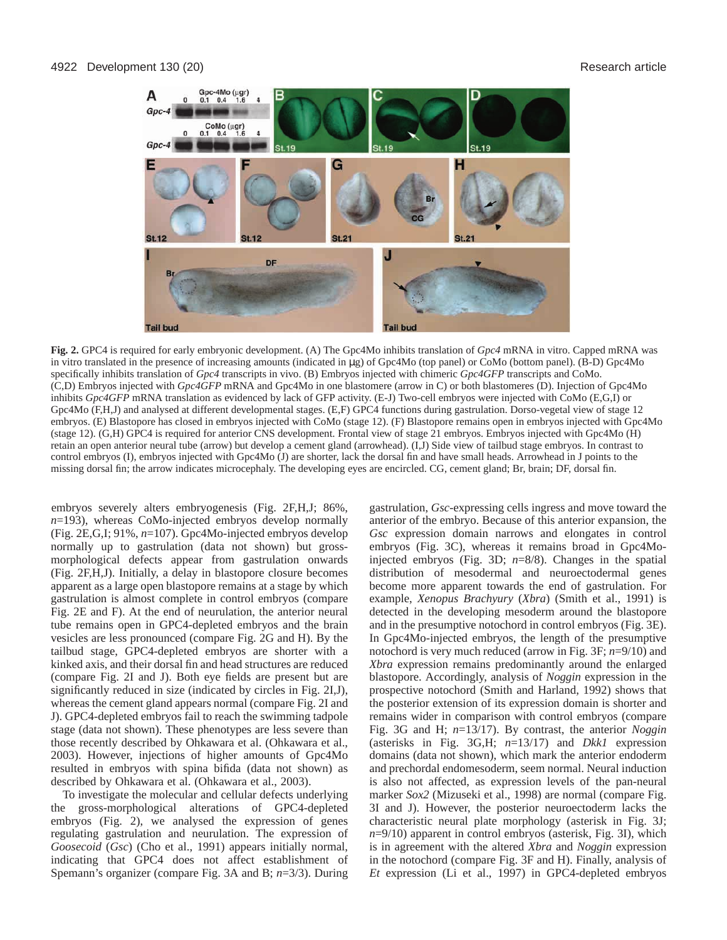

**Fig. 2.** GPC4 is required for early embryonic development. (A) The Gpc4Mo inhibits translation of *Gpc4* mRNA in vitro. Capped mRNA was in vitro translated in the presence of increasing amounts (indicated in µg) of Gpc4Mo (top panel) or CoMo (bottom panel). (B-D) Gpc4Mo specifically inhibits translation of *Gpc4* transcripts in vivo. (B) Embryos injected with chimeric *Gpc4GFP* transcripts and CoMo. (C,D) Embryos injected with *Gpc4GFP* mRNA and Gpc4Mo in one blastomere (arrow in C) or both blastomeres (D). Injection of Gpc4Mo inhibits *Gpc4GFP* mRNA translation as evidenced by lack of GFP activity. (E-J) Two-cell embryos were injected with CoMo (E,G,I) or Gpc4Mo (F,H,J) and analysed at different developmental stages. (E,F) GPC4 functions during gastrulation. Dorso-vegetal view of stage 12 embryos. (E) Blastopore has closed in embryos injected with CoMo (stage 12). (F) Blastopore remains open in embryos injected with Gpc4Mo (stage 12). (G,H) GPC4 is required for anterior CNS development. Frontal view of stage 21 embryos. Embryos injected with Gpc4Mo (H) retain an open anterior neural tube (arrow) but develop a cement gland (arrowhead). (I,J) Side view of tailbud stage embryos. In contrast to control embryos (I), embryos injected with Gpc4Mo (J) are shorter, lack the dorsal fin and have small heads. Arrowhead in J points to the missing dorsal fin; the arrow indicates microcephaly. The developing eyes are encircled. CG, cement gland; Br, brain; DF, dorsal fin.

embryos severely alters embryogenesis (Fig. 2F,H,J; 86%, *n*=193), whereas CoMo-injected embryos develop normally (Fig. 2E,G,I; 91%, *n*=107). Gpc4Mo-injected embryos develop normally up to gastrulation (data not shown) but grossmorphological defects appear from gastrulation onwards (Fig. 2F,H,J). Initially, a delay in blastopore closure becomes apparent as a large open blastopore remains at a stage by which gastrulation is almost complete in control embryos (compare Fig. 2E and F). At the end of neurulation, the anterior neural tube remains open in GPC4-depleted embryos and the brain vesicles are less pronounced (compare Fig. 2G and H). By the tailbud stage, GPC4-depleted embryos are shorter with a kinked axis, and their dorsal fin and head structures are reduced (compare Fig. 2I and J). Both eye fields are present but are significantly reduced in size (indicated by circles in Fig. 2I,J), whereas the cement gland appears normal (compare Fig. 2I and J). GPC4-depleted embryos fail to reach the swimming tadpole stage (data not shown). These phenotypes are less severe than those recently described by Ohkawara et al. (Ohkawara et al., 2003). However, injections of higher amounts of Gpc4Mo resulted in embryos with spina bifida (data not shown) as described by Ohkawara et al. (Ohkawara et al., 2003).

To investigate the molecular and cellular defects underlying the gross-morphological alterations of GPC4-depleted embryos (Fig. 2), we analysed the expression of genes regulating gastrulation and neurulation. The expression of *Goosecoid* (*Gsc*) (Cho et al., 1991) appears initially normal, indicating that GPC4 does not affect establishment of Spemann's organizer (compare Fig. 3A and B; *n*=3/3). During

gastrulation, *Gsc*-expressing cells ingress and move toward the anterior of the embryo. Because of this anterior expansion, the *Gsc* expression domain narrows and elongates in control embryos (Fig. 3C), whereas it remains broad in Gpc4Moinjected embryos (Fig. 3D; *n*=8/8). Changes in the spatial distribution of mesodermal and neuroectodermal genes become more apparent towards the end of gastrulation. For example, *Xenopus Brachyury* (*Xbra*) (Smith et al., 1991) is detected in the developing mesoderm around the blastopore and in the presumptive notochord in control embryos (Fig. 3E). In Gpc4Mo-injected embryos, the length of the presumptive notochord is very much reduced (arrow in Fig. 3F; *n*=9/10) and *Xbra* expression remains predominantly around the enlarged blastopore. Accordingly, analysis of *Noggin* expression in the prospective notochord (Smith and Harland, 1992) shows that the posterior extension of its expression domain is shorter and remains wider in comparison with control embryos (compare Fig. 3G and H; *n*=13/17). By contrast, the anterior *Noggin* (asterisks in Fig. 3G,H; *n*=13/17) and *Dkk1* expression domains (data not shown), which mark the anterior endoderm and prechordal endomesoderm, seem normal. Neural induction is also not affected, as expression levels of the pan-neural marker *Sox2* (Mizuseki et al., 1998) are normal (compare Fig. 3I and J). However, the posterior neuroectoderm lacks the characteristic neural plate morphology (asterisk in Fig. 3J; *n*=9/10) apparent in control embryos (asterisk, Fig. 3I), which is in agreement with the altered *Xbra* and *Noggin* expression in the notochord (compare Fig. 3F and H). Finally, analysis of *Et* expression (Li et al., 1997) in GPC4-depleted embryos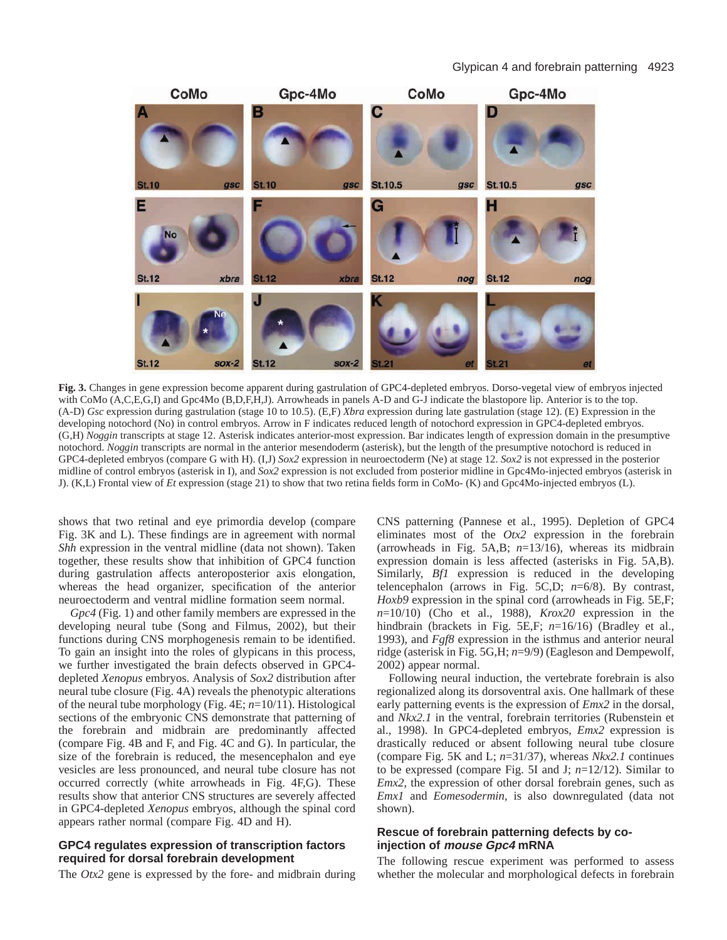#### Glypican 4 and forebrain patterning 4923



**Fig. 3.** Changes in gene expression become apparent during gastrulation of GPC4-depleted embryos. Dorso-vegetal view of embryos injected with CoMo (A,C,E,G,I) and Gpc4Mo (B,D,F,H,J). Arrowheads in panels A-D and G-J indicate the blastopore lip. Anterior is to the top. (A-D) *Gsc* expression during gastrulation (stage 10 to 10.5). (E,F) *Xbra* expression during late gastrulation (stage 12). (E) Expression in the developing notochord (No) in control embryos. Arrow in F indicates reduced length of notochord expression in GPC4-depleted embryos. (G,H) *Noggin* transcripts at stage 12. Asterisk indicates anterior-most expression. Bar indicates length of expression domain in the presumptive notochord. *Noggin* transcripts are normal in the anterior mesendoderm (asterisk), but the length of the presumptive notochord is reduced in GPC4-depleted embryos (compare G with H). (I,J) *Sox2* expression in neuroectoderm (Ne) at stage 12. *Sox2* is not expressed in the posterior midline of control embryos (asterisk in I), and *Sox2* expression is not excluded from posterior midline in Gpc4Mo-injected embryos (asterisk in J). (K,L) Frontal view of *Et* expression (stage 21) to show that two retina fields form in CoMo- (K) and Gpc4Mo-injected embryos (L).

shows that two retinal and eye primordia develop (compare Fig. 3K and L). These findings are in agreement with normal *Shh* expression in the ventral midline (data not shown). Taken together, these results show that inhibition of GPC4 function during gastrulation affects anteroposterior axis elongation, whereas the head organizer, specification of the anterior neuroectoderm and ventral midline formation seem normal.

*Gpc4* (Fig. 1) and other family members are expressed in the developing neural tube (Song and Filmus, 2002), but their functions during CNS morphogenesis remain to be identified. To gain an insight into the roles of glypicans in this process, we further investigated the brain defects observed in GPC4 depleted *Xenopus* embryos. Analysis of *Sox2* distribution after neural tube closure (Fig. 4A) reveals the phenotypic alterations of the neural tube morphology (Fig. 4E; *n*=10/11). Histological sections of the embryonic CNS demonstrate that patterning of the forebrain and midbrain are predominantly affected (compare Fig. 4B and F, and Fig. 4C and G). In particular, the size of the forebrain is reduced, the mesencephalon and eye vesicles are less pronounced, and neural tube closure has not occurred correctly (white arrowheads in Fig. 4F,G). These results show that anterior CNS structures are severely affected in GPC4-depleted *Xenopus* embryos, although the spinal cord appears rather normal (compare Fig. 4D and H).

#### **GPC4 regulates expression of transcription factors required for dorsal forebrain development**

The *Otx2* gene is expressed by the fore- and midbrain during

CNS patterning (Pannese et al., 1995). Depletion of GPC4 eliminates most of the *Otx2* expression in the forebrain (arrowheads in Fig. 5A,B; *n*=13/16), whereas its midbrain expression domain is less affected (asterisks in Fig. 5A,B). Similarly, *Bf1* expression is reduced in the developing telencephalon (arrows in Fig. 5C,D; *n*=6/8). By contrast, *Hoxb9* expression in the spinal cord (arrowheads in Fig. 5E,F; *n*=10/10) (Cho et al., 1988), *Krox20* expression in the hindbrain (brackets in Fig. 5E,F;  $n=16/16$ ) (Bradley et al., 1993), and *Fgf8* expression in the isthmus and anterior neural ridge (asterisk in Fig. 5G,H; *n*=9/9) (Eagleson and Dempewolf, 2002) appear normal.

Following neural induction, the vertebrate forebrain is also regionalized along its dorsoventral axis. One hallmark of these early patterning events is the expression of *Emx2* in the dorsal, and *Nkx2.1* in the ventral, forebrain territories (Rubenstein et al., 1998). In GPC4-depleted embryos, *Emx2* expression is drastically reduced or absent following neural tube closure (compare Fig. 5K and L; *n*=31/37), whereas *Nkx2.1* continues to be expressed (compare Fig. 5I and J; *n*=12/12). Similar to *Emx2*, the expression of other dorsal forebrain genes, such as *Emx1* and *Eomesodermin*, is also downregulated (data not shown).

#### **Rescue of forebrain patterning defects by coinjection of mouse Gpc4 mRNA**

The following rescue experiment was performed to assess whether the molecular and morphological defects in forebrain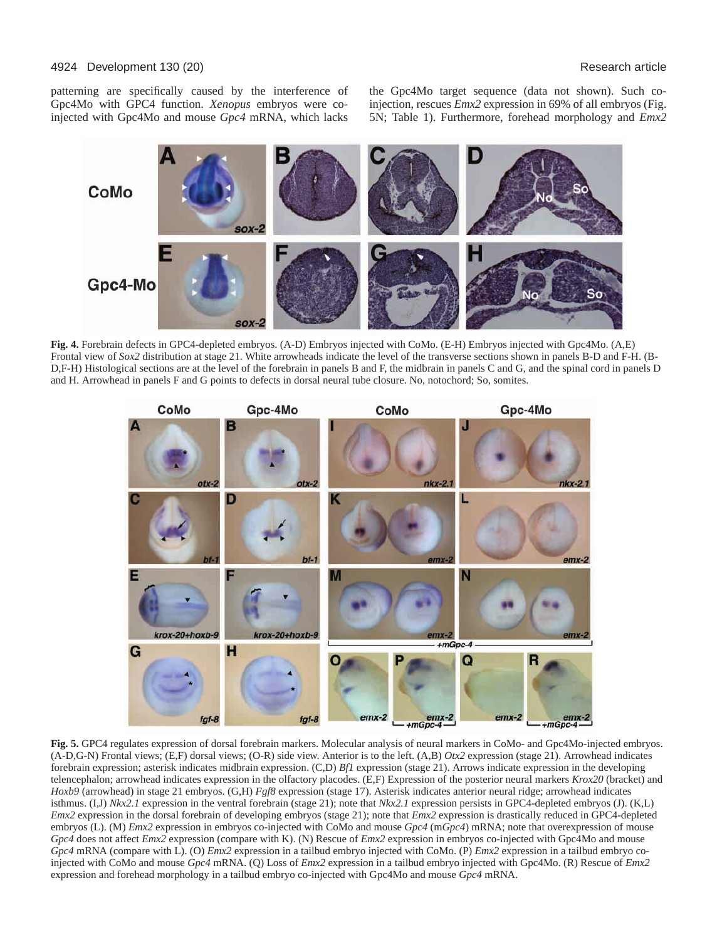#### 4924 Development 130 (20) Research article

patterning are specifically caused by the interference of Gpc4Mo with GPC4 function. *Xenopus* embryos were coinjected with Gpc4Mo and mouse *Gpc4* mRNA, which lacks

the Gpc4Mo target sequence (data not shown). Such coinjection, rescues *Emx2* expression in 69% of all embryos (Fig. 5N; Table 1). Furthermore, forehead morphology and *Emx2*



**Fig. 4.** Forebrain defects in GPC4-depleted embryos. (A-D) Embryos injected with CoMo. (E-H) Embryos injected with Gpc4Mo. (A,E) Frontal view of *Sox2* distribution at stage 21. White arrowheads indicate the level of the transverse sections shown in panels B-D and F-H. (B-D,F-H) Histological sections are at the level of the forebrain in panels B and F, the midbrain in panels C and G, and the spinal cord in panels D and H. Arrowhead in panels F and G points to defects in dorsal neural tube closure. No, notochord; So, somites.



**Fig. 5.** GPC4 regulates expression of dorsal forebrain markers. Molecular analysis of neural markers in CoMo- and Gpc4Mo-injected embryos. (A-D,G-N) Frontal views; (E,F) dorsal views; (O-R) side view. Anterior is to the left. (A,B) *Otx2* expression (stage 21). Arrowhead indicates forebrain expression; asterisk indicates midbrain expression. (C,D) *Bf1* expression (stage 21). Arrows indicate expression in the developing telencephalon; arrowhead indicates expression in the olfactory placodes. (E,F) Expression of the posterior neural markers *Krox20* (bracket) and *Hoxb9* (arrowhead) in stage 21 embryos. (G,H) *Fgf8* expression (stage 17). Asterisk indicates anterior neural ridge; arrowhead indicates isthmus. (I,J) *Nkx2.1* expression in the ventral forebrain (stage 21); note that *Nkx2.1* expression persists in GPC4-depleted embryos (J). (K,L) *Emx2* expression in the dorsal forebrain of developing embryos (stage 21); note that *Emx2* expression is drastically reduced in GPC4-depleted embryos (L). (M) *Emx2* expression in embryos co-injected with CoMo and mouse *Gpc4* (m*Gpc4*) mRNA; note that overexpression of mouse *Gpc4* does not affect *Emx2* expression (compare with K). (N) Rescue of *Emx2* expression in embryos co-injected with Gpc4Mo and mouse *Gpc4* mRNA (compare with L). (O) *Emx2* expression in a tailbud embryo injected with CoMo. (P) *Emx2* expression in a tailbud embryo coinjected with CoMo and mouse *Gpc4* mRNA. (Q) Loss of *Emx2* expression in a tailbud embryo injected with Gpc4Mo. (R) Rescue of *Emx2* expression and forehead morphology in a tailbud embryo co-injected with Gpc4Mo and mouse *Gpc4* mRNA.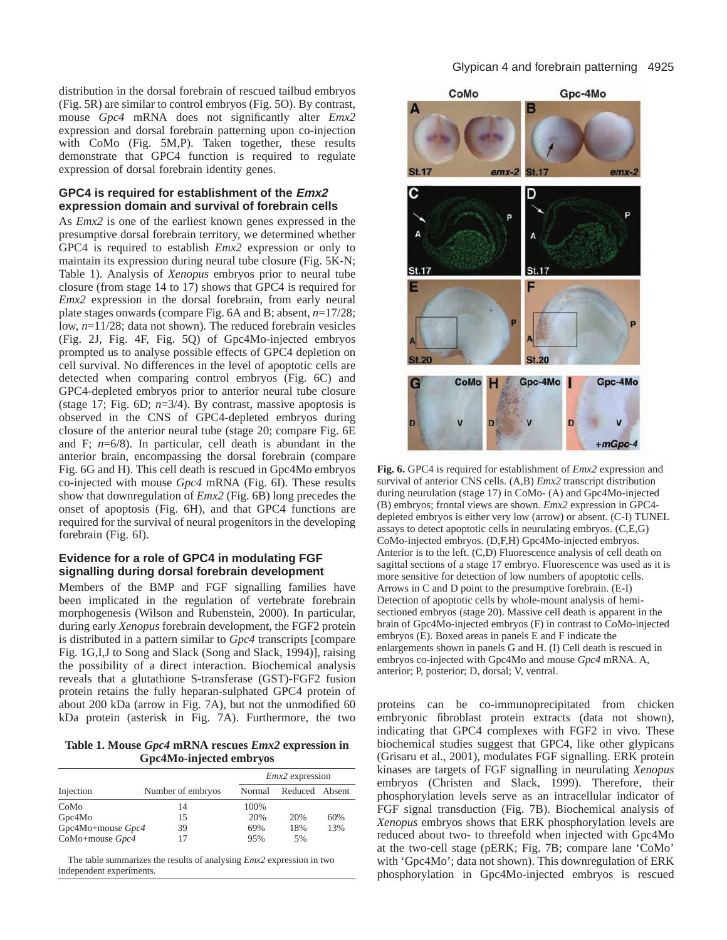distribution in the dorsal forebrain of rescued tailbud embryos (Fig. 5R) are similar to control embryos (Fig. 5O). By contrast, mouse *Gpc4* mRNA does not significantly alter *Emx2* expression and dorsal forebrain patterning upon co-injection with CoMo (Fig. 5M,P). Taken together, these results demonstrate that GPC4 function is required to regulate expression of dorsal forebrain identity genes.

## **GPC4 is required for establishment of the Emx2 expression domain and survival of forebrain cells**

As *Emx2* is one of the earliest known genes expressed in the presumptive dorsal forebrain territory, we determined whether GPC4 is required to establish *Emx2* expression or only to maintain its expression during neural tube closure (Fig. 5K-N; Table 1). Analysis of *Xenopus* embryos prior to neural tube closure (from stage 14 to 17) shows that GPC4 is required for *Emx2* expression in the dorsal forebrain, from early neural plate stages onwards (compare Fig. 6A and B; absent, *n*=17/28; low, *n*=11/28; data not shown). The reduced forebrain vesicles (Fig. 2J, Fig. 4F, Fig. 5Q) of Gpc4Mo-injected embryos prompted us to analyse possible effects of GPC4 depletion on cell survival. No differences in the level of apoptotic cells are detected when comparing control embryos (Fig. 6C) and GPC4-depleted embryos prior to anterior neural tube closure (stage 17; Fig. 6D; *n*=3/4). By contrast, massive apoptosis is observed in the CNS of GPC4-depleted embryos during closure of the anterior neural tube (stage 20; compare Fig. 6E and F; *n*=6/8). In particular, cell death is abundant in the anterior brain, encompassing the dorsal forebrain (compare Fig. 6G and H). This cell death is rescued in Gpc4Mo embryos co-injected with mouse *Gpc4* mRNA (Fig. 6I). These results show that downregulation of *Emx2* (Fig. 6B) long precedes the onset of apoptosis (Fig. 6H), and that GPC4 functions are required for the survival of neural progenitors in the developing forebrain (Fig. 6I).

## **Evidence for a role of GPC4 in modulating FGF signalling during dorsal forebrain development**

Members of the BMP and FGF signalling families have been implicated in the regulation of vertebrate forebrain morphogenesis (Wilson and Rubenstein, 2000). In particular, during early *Xenopus* forebrain development, the FGF2 protein is distributed in a pattern similar to *Gpc4* transcripts [compare Fig. 1G,I,J to Song and Slack (Song and Slack, 1994)], raising the possibility of a direct interaction. Biochemical analysis reveals that a glutathione S-transferase (GST)-FGF2 fusion protein retains the fully heparan-sulphated GPC4 protein of about 200 kDa (arrow in Fig. 7A), but not the unmodified 60 kDa protein (asterisk in Fig. 7A). Furthermore, the two

**Table 1. Mouse** *Gpc4* **mRNA rescues** *Emx2* **expression in Gpc4Mo-injected embryos**

| Injection           | Number of embryos | $Emx2$ expression |                |     |
|---------------------|-------------------|-------------------|----------------|-----|
|                     |                   | Normal            | Reduced Absent |     |
| CoMo                | 14                | 100%              |                |     |
| Gpc4Mo              | 15                | 20%               | 20%            | 60% |
| Gpc4Mo+mouse $Gpc4$ | 39                | 69%               | 18%            | 13% |
| CoMo+mouse $Gpc4$   |                   | 95%               | 5%             |     |

The table summarizes the results of analysing *Emx2* expression in two independent experiments.



**Fig. 6.** GPC4 is required for establishment of *Emx2* expression and survival of anterior CNS cells. (A,B) *Emx2* transcript distribution during neurulation (stage 17) in CoMo- (A) and Gpc4Mo-injected (B) embryos; frontal views are shown. *Emx2* expression in GPC4 depleted embryos is either very low (arrow) or absent. (C-I) TUNEL assays to detect apoptotic cells in neurulating embryos. (C,E,G) CoMo-injected embryos. (D,F,H) Gpc4Mo-injected embryos. Anterior is to the left. (C,D) Fluorescence analysis of cell death on sagittal sections of a stage 17 embryo. Fluorescence was used as it is more sensitive for detection of low numbers of apoptotic cells. Arrows in C and D point to the presumptive forebrain. (E-I) Detection of apoptotic cells by whole-mount analysis of hemisectioned embryos (stage 20). Massive cell death is apparent in the brain of Gpc4Mo-injected embryos (F) in contrast to CoMo-injected embryos (E). Boxed areas in panels E and F indicate the enlargements shown in panels G and H. (I) Cell death is rescued in embryos co-injected with Gpc4Mo and mouse *Gpc4* mRNA. A, anterior; P, posterior; D, dorsal; V, ventral.

proteins can be co-immunoprecipitated from chicken embryonic fibroblast protein extracts (data not shown), indicating that GPC4 complexes with FGF2 in vivo. These biochemical studies suggest that GPC4, like other glypicans (Grisaru et al., 2001), modulates FGF signalling. ERK protein kinases are targets of FGF signalling in neurulating *Xenopus* embryos (Christen and Slack, 1999). Therefore, their phosphorylation levels serve as an intracellular indicator of FGF signal transduction (Fig. 7B). Biochemical analysis of *Xenopus* embryos shows that ERK phosphorylation levels are reduced about two- to threefold when injected with Gpc4Mo at the two-cell stage (pERK; Fig. 7B; compare lane 'CoMo' with 'Gpc4Mo'; data not shown). This downregulation of ERK phosphorylation in Gpc4Mo-injected embryos is rescued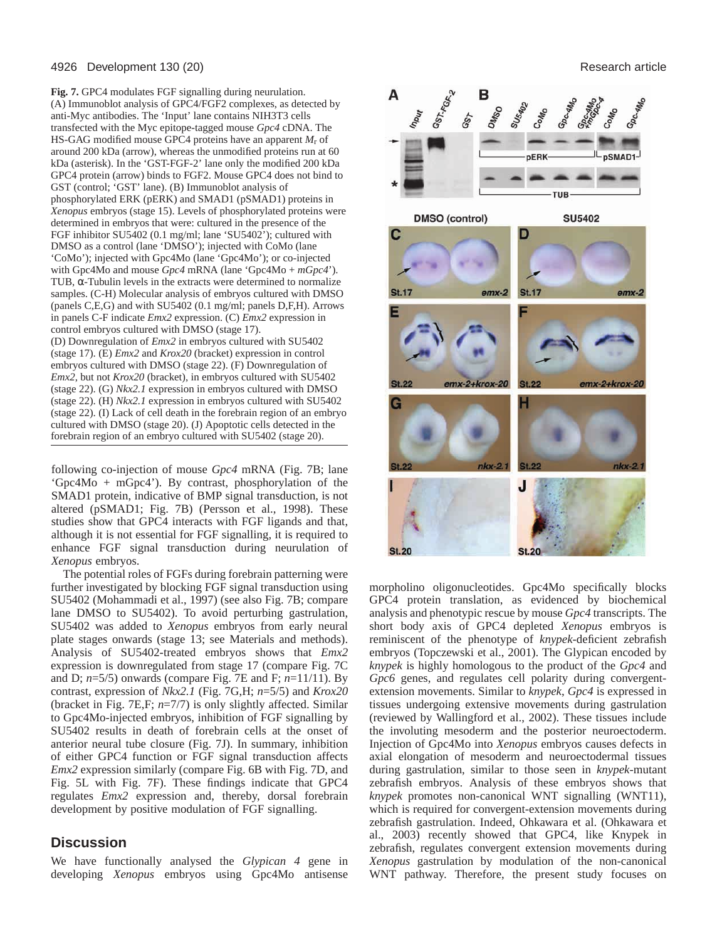#### 4926 Development 130 (20) Research article

**Fig. 7.** GPC4 modulates FGF signalling during neurulation. (A) Immunoblot analysis of GPC4/FGF2 complexes, as detected by anti-Myc antibodies. The 'Input' lane contains NIH3T3 cells transfected with the Myc epitope-tagged mouse *Gpc4* cDNA. The HS-GAG modified mouse GPC4 proteins have an apparent *M*r of around 200 kDa (arrow), whereas the unmodified proteins run at 60 kDa (asterisk). In the 'GST-FGF-2' lane only the modified 200 kDa GPC4 protein (arrow) binds to FGF2. Mouse GPC4 does not bind to GST (control; 'GST' lane). (B) Immunoblot analysis of phosphorylated ERK (pERK) and SMAD1 (pSMAD1) proteins in *Xenopus* embryos (stage 15). Levels of phosphorylated proteins were determined in embryos that were: cultured in the presence of the FGF inhibitor SU5402 (0.1 mg/ml; lane 'SU5402'); cultured with DMSO as a control (lane 'DMSO'); injected with CoMo (lane 'CoMo'); injected with Gpc4Mo (lane 'Gpc4Mo'); or co-injected with Gpc4Mo and mouse *Gpc4* mRNA (lane 'Gpc4Mo + *mGpc4*'). TUB, α-Tubulin levels in the extracts were determined to normalize samples. (C-H) Molecular analysis of embryos cultured with DMSO (panels C,E,G) and with SU5402 (0.1 mg/ml; panels D,F,H). Arrows in panels C-F indicate *Emx2* expression. (C) *Emx2* expression in control embryos cultured with DMSO (stage 17). (D) Downregulation of *Emx2* in embryos cultured with SU5402 (stage 17). (E) *Emx2* and *Krox20* (bracket) expression in control embryos cultured with DMSO (stage 22). (F) Downregulation of *Emx2*, but not *Krox20* (bracket), in embryos cultured with SU5402 (stage 22). (G) *Nkx2.1* expression in embryos cultured with DMSO (stage 22). (H) *Nkx2.1* expression in embryos cultured with SU5402 (stage 22). (I) Lack of cell death in the forebrain region of an embryo cultured with DMSO (stage 20). (J) Apoptotic cells detected in the forebrain region of an embryo cultured with SU5402 (stage 20).

following co-injection of mouse *Gpc4* mRNA (Fig. 7B; lane 'Gpc4Mo + mGpc4'). By contrast, phosphorylation of the SMAD1 protein, indicative of BMP signal transduction, is not altered (pSMAD1; Fig. 7B) (Persson et al., 1998). These studies show that GPC4 interacts with FGF ligands and that, although it is not essential for FGF signalling, it is required to enhance FGF signal transduction during neurulation of *Xenopus* embryos.

The potential roles of FGFs during forebrain patterning were further investigated by blocking FGF signal transduction using SU5402 (Mohammadi et al., 1997) (see also Fig. 7B; compare lane DMSO to SU5402). To avoid perturbing gastrulation, SU5402 was added to *Xenopus* embryos from early neural plate stages onwards (stage 13; see Materials and methods). Analysis of SU5402-treated embryos shows that *Emx2* expression is downregulated from stage 17 (compare Fig. 7C and D; *n*=5/5) onwards (compare Fig. 7E and F; *n*=11/11). By contrast, expression of *Nkx2.1* (Fig. 7G,H; *n*=5/5) and *Krox20* (bracket in Fig. 7E,F; *n*=7/7) is only slightly affected. Similar to Gpc4Mo-injected embryos, inhibition of FGF signalling by SU5402 results in death of forebrain cells at the onset of anterior neural tube closure (Fig. 7J). In summary, inhibition of either GPC4 function or FGF signal transduction affects *Emx2* expression similarly (compare Fig. 6B with Fig. 7D, and Fig. 5L with Fig. 7F). These findings indicate that GPC4 regulates *Emx2* expression and, thereby, dorsal forebrain development by positive modulation of FGF signalling.

# **Discussion**

We have functionally analysed the *Glypican 4* gene in developing *Xenopus* embryos using Gpc4Mo antisense



morpholino oligonucleotides. Gpc4Mo specifically blocks GPC4 protein translation, as evidenced by biochemical analysis and phenotypic rescue by mouse *Gpc4* transcripts. The short body axis of GPC4 depleted *Xenopus* embryos is reminiscent of the phenotype of *knypek*-deficient zebrafish embryos (Topczewski et al., 2001). The Glypican encoded by *knypek* is highly homologous to the product of the *Gpc4* and *Gpc6* genes, and regulates cell polarity during convergentextension movements. Similar to *knypek*, *Gpc4* is expressed in tissues undergoing extensive movements during gastrulation (reviewed by Wallingford et al., 2002). These tissues include the involuting mesoderm and the posterior neuroectoderm. Injection of Gpc4Mo into *Xenopus* embryos causes defects in axial elongation of mesoderm and neuroectodermal tissues during gastrulation, similar to those seen in *knypek*-mutant zebrafish embryos. Analysis of these embryos shows that *knypek* promotes non-canonical WNT signalling (WNT11), which is required for convergent-extension movements during zebrafish gastrulation. Indeed, Ohkawara et al. (Ohkawara et al., 2003) recently showed that GPC4, like Knypek in zebrafish, regulates convergent extension movements during *Xenopus* gastrulation by modulation of the non-canonical WNT pathway. Therefore, the present study focuses on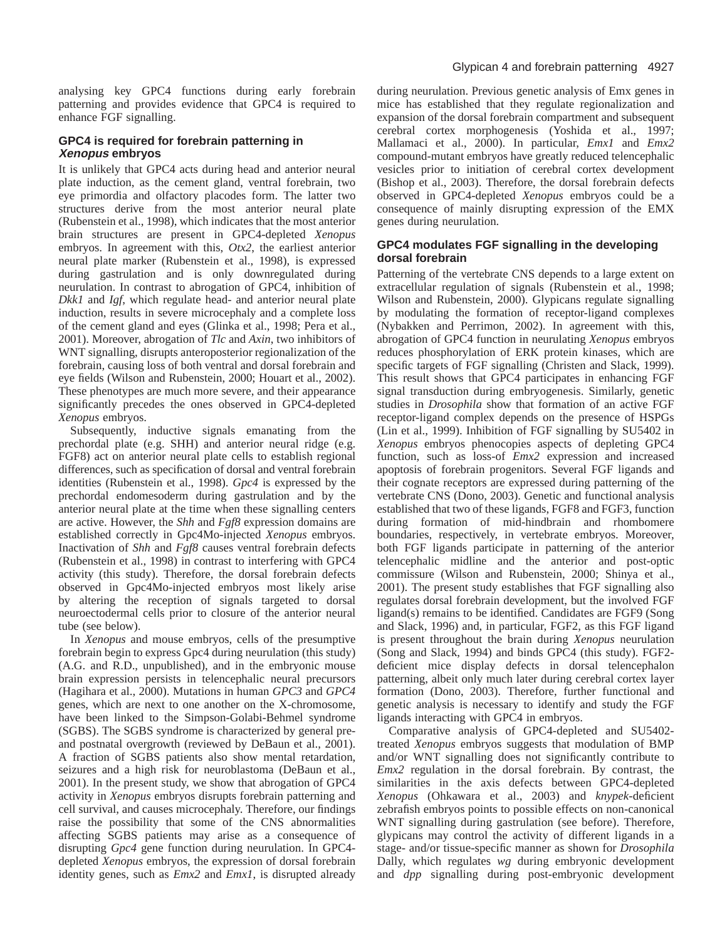analysing key GPC4 functions during early forebrain patterning and provides evidence that GPC4 is required to enhance FGF signalling.

# **GPC4 is required for forebrain patterning in Xenopus embryos**

It is unlikely that GPC4 acts during head and anterior neural plate induction, as the cement gland, ventral forebrain, two eye primordia and olfactory placodes form. The latter two structures derive from the most anterior neural plate (Rubenstein et al., 1998), which indicates that the most anterior brain structures are present in GPC4-depleted *Xenopus* embryos. In agreement with this, *Otx2*, the earliest anterior neural plate marker (Rubenstein et al., 1998), is expressed during gastrulation and is only downregulated during neurulation. In contrast to abrogation of GPC4, inhibition of *Dkk1* and *Igf*, which regulate head- and anterior neural plate induction, results in severe microcephaly and a complete loss of the cement gland and eyes (Glinka et al., 1998; Pera et al., 2001). Moreover, abrogation of *Tlc* and *Axin*, two inhibitors of WNT signalling, disrupts anteroposterior regionalization of the forebrain, causing loss of both ventral and dorsal forebrain and eye fields (Wilson and Rubenstein, 2000; Houart et al., 2002). These phenotypes are much more severe, and their appearance significantly precedes the ones observed in GPC4-depleted *Xenopus* embryos.

Subsequently, inductive signals emanating from the prechordal plate (e.g. SHH) and anterior neural ridge (e.g. FGF8) act on anterior neural plate cells to establish regional differences, such as specification of dorsal and ventral forebrain identities (Rubenstein et al., 1998). *Gpc4* is expressed by the prechordal endomesoderm during gastrulation and by the anterior neural plate at the time when these signalling centers are active. However, the *Shh* and *Fgf8* expression domains are established correctly in Gpc4Mo-injected *Xenopus* embryos. Inactivation of *Shh* and *Fgf8* causes ventral forebrain defects (Rubenstein et al., 1998) in contrast to interfering with GPC4 activity (this study). Therefore, the dorsal forebrain defects observed in Gpc4Mo-injected embryos most likely arise by altering the reception of signals targeted to dorsal neuroectodermal cells prior to closure of the anterior neural tube (see below).

In *Xenopus* and mouse embryos, cells of the presumptive forebrain begin to express Gpc4 during neurulation (this study) (A.G. and R.D., unpublished), and in the embryonic mouse brain expression persists in telencephalic neural precursors (Hagihara et al., 2000). Mutations in human *GPC3* and *GPC4* genes, which are next to one another on the X-chromosome, have been linked to the Simpson-Golabi-Behmel syndrome (SGBS). The SGBS syndrome is characterized by general preand postnatal overgrowth (reviewed by DeBaun et al., 2001). A fraction of SGBS patients also show mental retardation, seizures and a high risk for neuroblastoma (DeBaun et al., 2001). In the present study, we show that abrogation of GPC4 activity in *Xenopus* embryos disrupts forebrain patterning and cell survival, and causes microcephaly. Therefore, our findings raise the possibility that some of the CNS abnormalities affecting SGBS patients may arise as a consequence of disrupting *Gpc4* gene function during neurulation. In GPC4 depleted *Xenopus* embryos, the expression of dorsal forebrain identity genes, such as *Emx2* and *Emx1*, is disrupted already

during neurulation. Previous genetic analysis of Emx genes in mice has established that they regulate regionalization and expansion of the dorsal forebrain compartment and subsequent cerebral cortex morphogenesis (Yoshida et al., 1997; Mallamaci et al., 2000). In particular, *Emx1* and *Emx2* compound-mutant embryos have greatly reduced telencephalic vesicles prior to initiation of cerebral cortex development (Bishop et al., 2003). Therefore, the dorsal forebrain defects observed in GPC4-depleted *Xenopus* embryos could be a consequence of mainly disrupting expression of the EMX genes during neurulation.

# **GPC4 modulates FGF signalling in the developing dorsal forebrain**

Patterning of the vertebrate CNS depends to a large extent on extracellular regulation of signals (Rubenstein et al., 1998; Wilson and Rubenstein, 2000). Glypicans regulate signalling by modulating the formation of receptor-ligand complexes (Nybakken and Perrimon, 2002). In agreement with this, abrogation of GPC4 function in neurulating *Xenopus* embryos reduces phosphorylation of ERK protein kinases, which are specific targets of FGF signalling (Christen and Slack, 1999). This result shows that GPC4 participates in enhancing FGF signal transduction during embryogenesis. Similarly, genetic studies in *Drosophila* show that formation of an active FGF receptor-ligand complex depends on the presence of HSPGs (Lin et al., 1999). Inhibition of FGF signalling by SU5402 in *Xenopus* embryos phenocopies aspects of depleting GPC4 function, such as loss-of *Emx2* expression and increased apoptosis of forebrain progenitors. Several FGF ligands and their cognate receptors are expressed during patterning of the vertebrate CNS (Dono, 2003). Genetic and functional analysis established that two of these ligands, FGF8 and FGF3, function during formation of mid-hindbrain and rhombomere boundaries, respectively, in vertebrate embryos. Moreover, both FGF ligands participate in patterning of the anterior telencephalic midline and the anterior and post-optic commissure (Wilson and Rubenstein, 2000; Shinya et al., 2001). The present study establishes that FGF signalling also regulates dorsal forebrain development, but the involved FGF ligand(s) remains to be identified. Candidates are FGF9 (Song and Slack, 1996) and, in particular, FGF2, as this FGF ligand is present throughout the brain during *Xenopus* neurulation (Song and Slack, 1994) and binds GPC4 (this study). FGF2 deficient mice display defects in dorsal telencephalon patterning, albeit only much later during cerebral cortex layer formation (Dono, 2003). Therefore, further functional and genetic analysis is necessary to identify and study the FGF ligands interacting with GPC4 in embryos.

Comparative analysis of GPC4-depleted and SU5402 treated *Xenopus* embryos suggests that modulation of BMP and/or WNT signalling does not significantly contribute to *Emx2* regulation in the dorsal forebrain. By contrast, the similarities in the axis defects between GPC4-depleted *Xenopus* (Ohkawara et al., 2003) and *knypek*-deficient zebrafish embryos points to possible effects on non-canonical WNT signalling during gastrulation (see before). Therefore, glypicans may control the activity of different ligands in a stage- and/or tissue-specific manner as shown for *Drosophila* Dally, which regulates *wg* during embryonic development and *dpp* signalling during post-embryonic development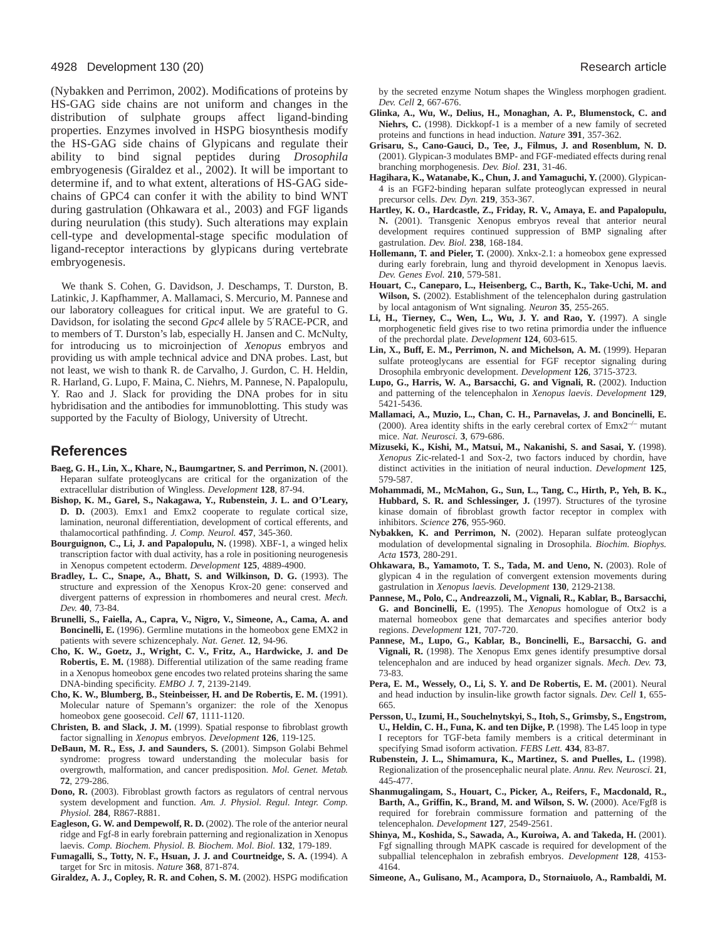#### 4928 Development 130 (20) Research article

(Nybakken and Perrimon, 2002). Modifications of proteins by HS-GAG side chains are not uniform and changes in the distribution of sulphate groups affect ligand-binding properties. Enzymes involved in HSPG biosynthesis modify the HS-GAG side chains of Glypicans and regulate their ability to bind signal peptides during *Drosophila* embryogenesis (Giraldez et al., 2002). It will be important to determine if, and to what extent, alterations of HS-GAG sidechains of GPC4 can confer it with the ability to bind WNT during gastrulation (Ohkawara et al., 2003) and FGF ligands during neurulation (this study). Such alterations may explain cell-type and developmental-stage specific modulation of ligand-receptor interactions by glypicans during vertebrate embryogenesis.

We thank S. Cohen, G. Davidson, J. Deschamps, T. Durston, B. Latinkic, J. Kapfhammer, A. Mallamaci, S. Mercurio, M. Pannese and our laboratory colleagues for critical input. We are grateful to G. Davidson, for isolating the second *Gpc4* allele by 5′RACE-PCR, and to members of T. Durston's lab, especially H. Jansen and C. McNulty, for introducing us to microinjection of *Xenopus* embryos and providing us with ample technical advice and DNA probes. Last, but not least, we wish to thank R. de Carvalho, J. Gurdon, C. H. Heldin, R. Harland, G. Lupo, F. Maina, C. Niehrs, M. Pannese, N. Papalopulu, Y. Rao and J. Slack for providing the DNA probes for in situ hybridisation and the antibodies for immunoblotting. This study was supported by the Faculty of Biology, University of Utrecht.

### **References**

- **Baeg, G. H., Lin, X., Khare, N., Baumgartner, S. and Perrimon, N.** (2001). Heparan sulfate proteoglycans are critical for the organization of the extracellular distribution of Wingless. *Development* **128**, 87-94.
- **Bishop, K. M., Garel, S., Nakagawa, Y., Rubenstein, J. L. and O'Leary, D. D.** (2003). Emx1 and Emx2 cooperate to regulate cortical size, lamination, neuronal differentiation, development of cortical efferents, and thalamocortical pathfinding. *J. Comp. Neurol.* **457**, 345-360.
- **Bourguignon, C., Li, J. and Papalopulu, N.** (1998). XBF-1, a winged helix transcription factor with dual activity, has a role in positioning neurogenesis in Xenopus competent ectoderm. *Development* **125**, 4889-4900.
- **Bradley, L. C., Snape, A., Bhatt, S. and Wilkinson, D. G.** (1993). The structure and expression of the Xenopus Krox-20 gene: conserved and divergent patterns of expression in rhombomeres and neural crest. *Mech. Dev.* **40**, 73-84.
- **Brunelli, S., Faiella, A., Capra, V., Nigro, V., Simeone, A., Cama, A. and Boncinelli, E.** (1996). Germline mutations in the homeobox gene EMX2 in patients with severe schizencephaly. *Nat. Genet.* **12**, 94-96.
- **Cho, K. W., Goetz, J., Wright, C. V., Fritz, A., Hardwicke, J. and De Robertis, E. M.** (1988). Differential utilization of the same reading frame in a Xenopus homeobox gene encodes two related proteins sharing the same DNA-binding specificity. *EMBO J.* **7**, 2139-2149.
- **Cho, K. W., Blumberg, B., Steinbeisser, H. and De Robertis, E. M.** (1991). Molecular nature of Spemann's organizer: the role of the Xenopus homeobox gene goosecoid. *Cell* **67**, 1111-1120.
- **Christen, B. and Slack, J. M.** (1999). Spatial response to fibroblast growth factor signalling in *Xenopus* embryos. *Development* **126**, 119-125.
- **DeBaun, M. R., Ess, J. and Saunders, S.** (2001). Simpson Golabi Behmel syndrome: progress toward understanding the molecular basis for overgrowth, malformation, and cancer predisposition. *Mol. Genet. Metab.* **72**, 279-286.
- **Dono, R.** (2003). Fibroblast growth factors as regulators of central nervous system development and function. *Am. J. Physiol. Regul. Integr. Comp. Physiol.* **284**, R867-R881.
- **Eagleson, G. W. and Dempewolf, R. D.** (2002). The role of the anterior neural ridge and Fgf-8 in early forebrain patterning and regionalization in Xenopus laevis. *Comp. Biochem. Physiol. B. Biochem. Mol. Biol.* **132**, 179-189.

**Fumagalli, S., Totty, N. F., Hsuan, J. J. and Courtneidge, S. A.** (1994). A target for Src in mitosis. *Nature* **368**, 871-874.

**Giraldez, A. J., Copley, R. R. and Cohen, S. M.** (2002). HSPG modification

by the secreted enzyme Notum shapes the Wingless morphogen gradient. *Dev. Cell* **2**, 667-676.

- **Glinka, A., Wu, W., Delius, H., Monaghan, A. P., Blumenstock, C. and Niehrs, C.** (1998). Dickkopf-1 is a member of a new family of secreted proteins and functions in head induction. *Nature* **391**, 357-362.
- **Grisaru, S., Cano-Gauci, D., Tee, J., Filmus, J. and Rosenblum, N. D.** (2001). Glypican-3 modulates BMP- and FGF-mediated effects during renal branching morphogenesis. *Dev. Biol.* **231**, 31-46.
- **Hagihara, K., Watanabe, K., Chun, J. and Yamaguchi, Y.** (2000). Glypican-4 is an FGF2-binding heparan sulfate proteoglycan expressed in neural precursor cells. *Dev. Dyn.* **219**, 353-367.
- **Hartley, K. O., Hardcastle, Z., Friday, R. V., Amaya, E. and Papalopulu, N.** (2001). Transgenic Xenopus embryos reveal that anterior neural development requires continued suppression of BMP signaling after gastrulation. *Dev. Biol.* **238**, 168-184.
- **Hollemann, T. and Pieler, T.** (2000). Xnkx-2.1: a homeobox gene expressed during early forebrain, lung and thyroid development in Xenopus laevis. *Dev. Genes Evol.* **210**, 579-581.
- **Houart, C., Caneparo, L., Heisenberg, C., Barth, K., Take-Uchi, M. and Wilson, S.** (2002). Establishment of the telencephalon during gastrulation by local antagonism of Wnt signaling. *Neuron* **35**, 255-265.
- **Li, H., Tierney, C., Wen, L., Wu, J. Y. and Rao, Y.** (1997). A single morphogenetic field gives rise to two retina primordia under the influence of the prechordal plate. *Development* **124**, 603-615.
- **Lin, X., Buff, E. M., Perrimon, N. and Michelson, A. M.** (1999). Heparan sulfate proteoglycans are essential for FGF receptor signaling during Drosophila embryonic development. *Development* **126**, 3715-3723.
- **Lupo, G., Harris, W. A., Barsacchi, G. and Vignali, R.** (2002). Induction and patterning of the telencephalon in *Xenopus laevis*. *Development* **129**, 5421-5436.
- **Mallamaci, A., Muzio, L., Chan, C. H., Parnavelas, J. and Boncinelli, E.** (2000). Area identity shifts in the early cerebral cortex of  $Emx2^{-/-}$  mutant mice. *Nat. Neurosci.* **3**, 679-686.
- **Mizuseki, K., Kishi, M., Matsui, M., Nakanishi, S. and Sasai, Y.** (1998). *Xenopus* Zic-related-1 and Sox-2, two factors induced by chordin, have distinct activities in the initiation of neural induction. *Development* **125**, 579-587.
- **Mohammadi, M., McMahon, G., Sun, L., Tang, C., Hirth, P., Yeh, B. K., Hubbard, S. R. and Schlessinger, J.** (1997). Structures of the tyrosine kinase domain of fibroblast growth factor receptor in complex with inhibitors. *Science* **276**, 955-960.
- **Nybakken, K. and Perrimon, N.** (2002). Heparan sulfate proteoglycan modulation of developmental signaling in Drosophila. *Biochim. Biophys. Acta* **1573**, 280-291.
- **Ohkawara, B., Yamamoto, T. S., Tada, M. and Ueno, N.** (2003). Role of glypican 4 in the regulation of convergent extension movements during gastrulation in *Xenopus laevis. Development* **130**, 2129-2138.
- **Pannese, M., Polo, C., Andreazzoli, M., Vignali, R., Kablar, B., Barsacchi, G. and Boncinelli, E.** (1995). The *Xenopus* homologue of Otx2 is a maternal homeobox gene that demarcates and specifies anterior body regions. *Development* **121**, 707-720.
- **Pannese, M., Lupo, G., Kablar, B., Boncinelli, E., Barsacchi, G. and Vignali, R.** (1998). The Xenopus Emx genes identify presumptive dorsal telencephalon and are induced by head organizer signals. *Mech. Dev.* **73**, 73-83.
- **Pera, E. M., Wessely, O., Li, S. Y. and De Robertis, E. M.** (2001). Neural and head induction by insulin-like growth factor signals. *Dev. Cell* **1**, 655- 665.
- **Persson, U., Izumi, H., Souchelnytskyi, S., Itoh, S., Grimsby, S., Engstrom, U., Heldin, C. H., Funa, K. and ten Dijke, P.** (1998). The L45 loop in type I receptors for TGF-beta family members is a critical determinant in specifying Smad isoform activation. *FEBS Lett.* **434**, 83-87.
- **Rubenstein, J. L., Shimamura, K., Martinez, S. and Puelles, L.** (1998). Regionalization of the prosencephalic neural plate. *Annu. Rev. Neurosci.* **21**, 445-477.
- **Shanmugalingam, S., Houart, C., Picker, A., Reifers, F., Macdonald, R., Barth, A., Griffin, K., Brand, M. and Wilson, S. W.** (2000). Ace/Fgf8 is required for forebrain commissure formation and patterning of the telencephalon. *Development* **127**, 2549-2561.
- **Shinya, M., Koshida, S., Sawada, A., Kuroiwa, A. and Takeda, H.** (2001). Fgf signalling through MAPK cascade is required for development of the subpallial telencephalon in zebrafish embryos. *Development* **128**, 4153- 4164.
- **Simeone, A., Gulisano, M., Acampora, D., Stornaiuolo, A., Rambaldi, M.**